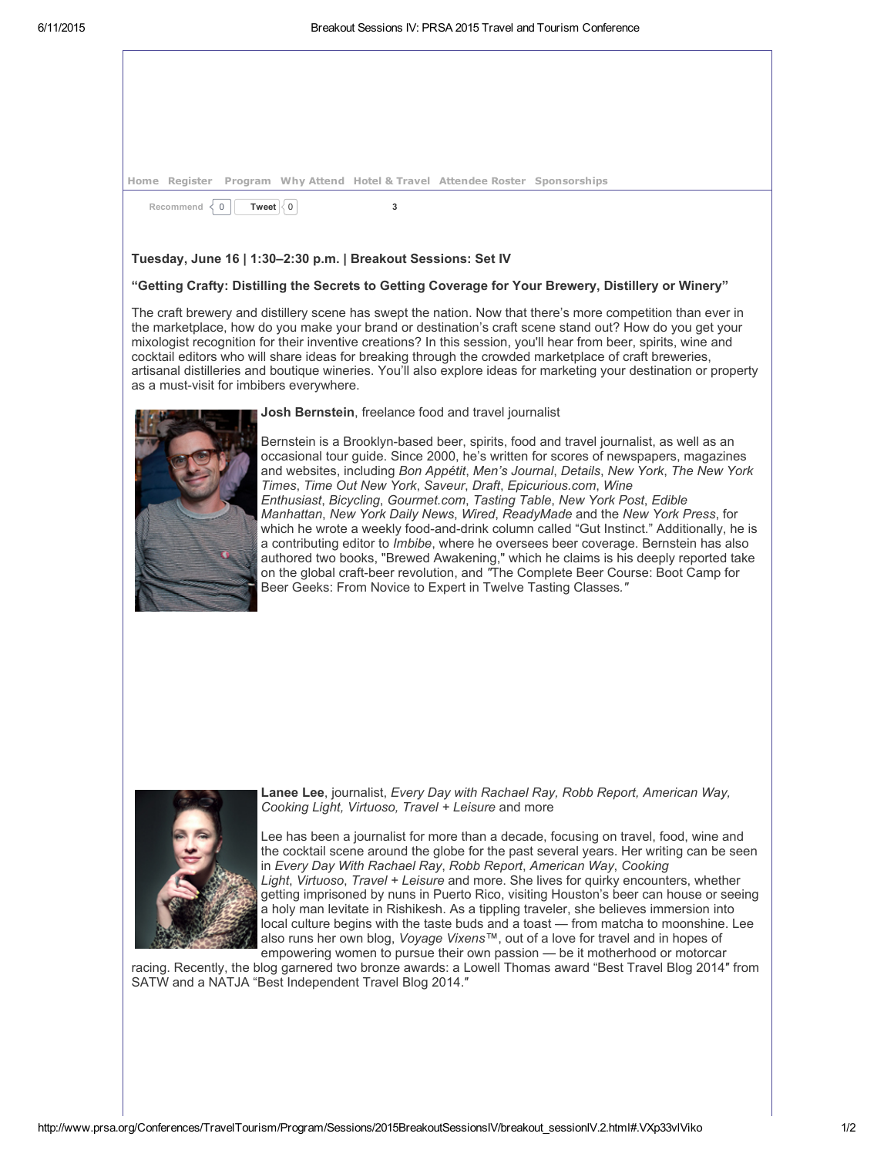|  |  | Home Register Program Why Attend Hotel & Travel Attendee Roster Sponsorships |  |
|--|--|------------------------------------------------------------------------------|--|

Recommend  $\langle 0 |$  $\langle 0 |$  $\langle 0 |$  **[Tweet](https://twitter.com/intent/tweet?original_referer=http%3A%2F%2Fwww.prsa.org%2FConferences%2FTravelTourism%2FProgram%2FSessions%2F2015BreakoutSessionsIV%2Fbreakout_sessionIV.2.html&text=Breakout%20Sessions%20IV%3A%20PRSA%202015%20Travel%20and%20Tourism%20Conference%3A&tw_p=tweetbutton&url=http%3A%2F%2Fwww.prsa.org%2FConferences%2FTravelTourism%2FProgram%2FSessions%2F2015BreakoutSessionsIV%2Fbreakout_sessionIV.2.html%23.VXp33gqfdAR.twitter)**  $\langle 0 |$  3

## Tuesday, June 16 | 1:30–2:30 p.m. | Breakout Sessions: Set IV

### "Getting Crafty: Distilling the Secrets to Getting Coverage for Your Brewery, Distillery or Winery"

The craft brewery and distillery scene has swept the nation. Now that there's more competition than ever in the marketplace, how do you make your brand or destination's craft scene stand out? How do you get your mixologist recognition for their inventive creations? In this session, you'll hear from beer, spirits, wine and cocktail editors who will share ideas for breaking through the crowded marketplace of craft breweries, artisanal distilleries and boutique wineries. You'll also explore ideas for marketing your destination or property as a must-visit for imbibers everywhere.



#### Josh Bernstein, freelance food and travel journalist

Bernstein is a Brooklyn-based beer, spirits, food and travel journalist, as well as an occasional tour guide. Since 2000, he's written for scores of newspapers, magazines and websites, including *Bon Appétit*, *Men's Journal*, *Details*, *New York*, *The New York Times*, *Time Out New York*, *Saveur*, *Draft*, *Epicurious.com*, *Wine Enthusiast*, *Bicycling*, *Gourmet.com*, *Tasting Table*, *New York Post*, *Edible Manhattan*, *New York Daily News*, *Wired*, *ReadyMade* and the *New York Press*, for which he wrote a weekly food-and-drink column called "Gut Instinct." Additionally, he is a contributing editor to *Imbibe*, where he oversees beer coverage. Bernstein has also authored two books, "Brewed Awakening," which he claims is his deeply reported take on the global craft-beer revolution, and "The Complete Beer Course: Boot Camp for Beer Geeks: From Novice to Expert in Twelve Tasting Classes*."*



Lanee Lee, journalist, *Every Day with Rachael Ray, Robb Report, American Way, Cooking Light, Virtuoso, Travel + Leisure* and more

Lee has been a journalist for more than a decade, focusing on travel, food, wine and the cocktail scene around the globe for the past several years. Her writing can be seen in *Every Day With Rachael Ray*, *Robb Report*, *American Way*, *Cooking Light*, *Virtuoso*, *Travel + Leisure* and more. She lives for quirky encounters, whether getting imprisoned by nuns in Puerto Rico, visiting Houston's beer can house or seeing a holy man levitate in Rishikesh. As a tippling traveler, she believes immersion into local culture begins with the taste buds and a toast — from matcha to moonshine. Lee also runs her own blog, *Voyage Vixens™*, out of a love for travel and in hopes of empowering women to pursue their own passion — be it motherhood or motorcar

racing. Recently, the blog garnered two bronze awards: a Lowell Thomas award "Best Travel Blog 2014″ from SATW and a NATJA "Best Independent Travel Blog 2014.″